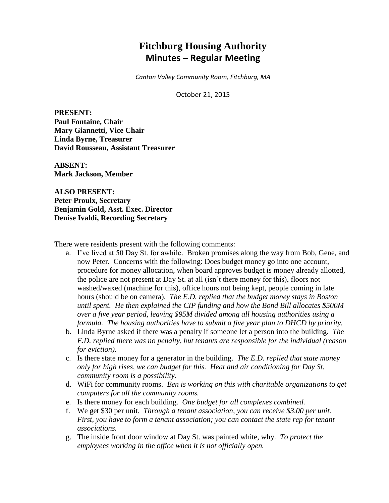# **Fitchburg Housing Authority Minutes – Regular Meeting**

*Canton Valley Community Room, Fitchburg, MA*

October 21, 2015

**PRESENT: Paul Fontaine, Chair Mary Giannetti, Vice Chair Linda Byrne, Treasurer David Rousseau, Assistant Treasurer**

**ABSENT: Mark Jackson, Member**

**ALSO PRESENT: Peter Proulx, Secretary Benjamin Gold, Asst. Exec. Director Denise Ivaldi, Recording Secretary**

There were residents present with the following comments:

- a. I've lived at 50 Day St. for awhile. Broken promises along the way from Bob, Gene, and now Peter. Concerns with the following: Does budget money go into one account, procedure for money allocation, when board approves budget is money already allotted, the police are not present at Day St. at all (isn't there money for this), floors not washed/waxed (machine for this), office hours not being kept, people coming in late hours (should be on camera). *The E.D. replied that the budget money stays in Boston until spent. He then explained the CIP funding and how the Bond Bill allocates \$500M over a five year period, leaving \$95M divided among all housing authorities using a formula. The housing authorities have to submit a five year plan to DHCD by priority.*
- b. Linda Byrne asked if there was a penalty if someone let a person into the building. *The E.D. replied there was no penalty, but tenants are responsible for the individual (reason for eviction).*
- c. Is there state money for a generator in the building. *The E.D. replied that state money only for high rises, we can budget for this. Heat and air conditioning for Day St. community room is a possibility.*
- d. WiFi for community rooms. *Ben is working on this with charitable organizations to get computers for all the community rooms.*
- e. Is there money for each building. *One budget for all complexes combined.*
- f. We get \$30 per unit. *Through a tenant association, you can receive \$3.00 per unit. First, you have to form a tenant association; you can contact the state rep for tenant associations.*
- g. The inside front door window at Day St. was painted white, why. *To protect the employees working in the office when it is not officially open.*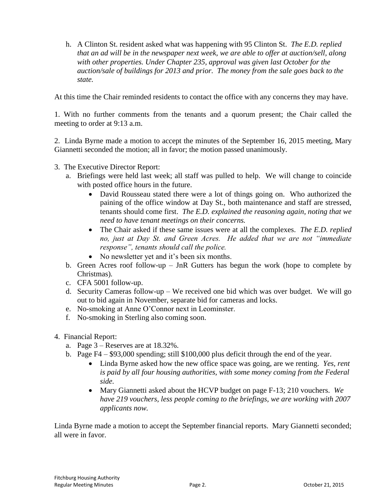h. A Clinton St. resident asked what was happening with 95 Clinton St. *The E.D. replied that an ad will be in the newspaper next week, we are able to offer at auction/sell, along with other properties. Under Chapter 235, approval was given last October for the auction/sale of buildings for 2013 and prior. The money from the sale goes back to the state.*

At this time the Chair reminded residents to contact the office with any concerns they may have.

1. With no further comments from the tenants and a quorum present; the Chair called the meeting to order at 9:13 a.m.

2. Linda Byrne made a motion to accept the minutes of the September 16, 2015 meeting, Mary Giannetti seconded the motion; all in favor; the motion passed unanimously.

- 3. The Executive Director Report:
	- a. Briefings were held last week; all staff was pulled to help. We will change to coincide with posted office hours in the future.
		- David Rousseau stated there were a lot of things going on. Who authorized the paining of the office window at Day St., both maintenance and staff are stressed, tenants should come first. *The E.D. explained the reasoning again, noting that we need to have tenant meetings on their concerns.*
		- The Chair asked if these same issues were at all the complexes. *The E.D. replied no, just at Day St. and Green Acres. He added that we are not "immediate response", tenants should call the police.*
		- No newsletter yet and it's been six months.
	- b. Green Acres roof follow-up JnR Gutters has begun the work (hope to complete by Christmas).
	- c. CFA 5001 follow-up.
	- d. Security Cameras follow-up We received one bid which was over budget. We will go out to bid again in November, separate bid for cameras and locks.
	- e. No-smoking at Anne O'Connor next in Leominster.
	- f. No-smoking in Sterling also coming soon.
- 4. Financial Report:
	- a. Page 3 Reserves are at 18.32%.
	- b. Page F4 \$93,000 spending; still \$100,000 plus deficit through the end of the year.
		- Linda Byrne asked how the new office space was going, are we renting. *Yes, rent is paid by all four housing authorities, with some money coming from the Federal side.*
		- Mary Giannetti asked about the HCVP budget on page F-13; 210 vouchers. *We have 219 vouchers, less people coming to the briefings, we are working with 2007 applicants now.*

Linda Byrne made a motion to accept the September financial reports. Mary Giannetti seconded; all were in favor.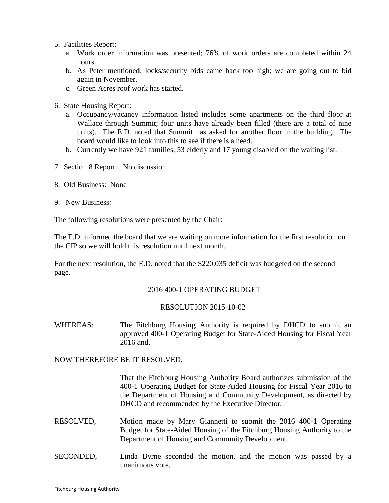- 5. Facilities Report:
	- a. Work order information was presented; 76% of work orders are completed within 24 hours.
	- b. As Peter mentioned, locks/security bids came back too high; we are going out to bid again in November.
	- c. Green Acres roof work has started.
- 6. State Housing Report:
	- a. Occupancy/vacancy information listed includes some apartments on the third floor at Wallace through Summit; four units have already been filled (there are a total of nine units). The E.D. noted that Summit has asked for another floor in the building. The board would like to look into this to see if there is a need.
	- b. Currently we have 921 families, 53 elderly and 17 young disabled on the waiting list.
- 7. Section 8 Report: No discussion.
- 8. Old Business: None
- 9. New Business:

The following resolutions were presented by the Chair:

The E.D. informed the board that we are waiting on more information for the first resolution on the CIP so we will hold this resolution until next month.

For the next resolution, the E.D. noted that the \$220,035 deficit was budgeted on the second page.

# 2016 400-1 OPERATING BUDGET

# RESOLUTION 2015-10-02

WHEREAS: The Fitchburg Housing Authority is required by DHCD to submit an approved 400-1 Operating Budget for State-Aided Housing for Fiscal Year 2016 and,

NOW THEREFORE BE IT RESOLVED,

That the Fitchburg Housing Authority Board authorizes submission of the 400-1 Operating Budget for State-Aided Housing for Fiscal Year 2016 to the Department of Housing and Community Development, as directed by DHCD and recommended by the Executive Director,

- RESOLVED, Motion made by Mary Giannetti to submit the 2016 400-1 Operating Budget for State-Aided Housing of the Fitchburg Housing Authority to the Department of Housing and Community Development.
- SECONDED, Linda Byrne seconded the motion, and the motion was passed by a unanimous vote.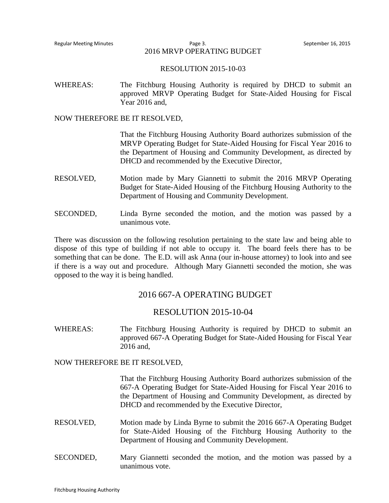Regular Meeting Minutes Page 3. September 16, 2015 2016 MRVP OPERATING BUDGET

#### RESOLUTION 2015-10-03

WHEREAS: The Fitchburg Housing Authority is required by DHCD to submit an approved MRVP Operating Budget for State-Aided Housing for Fiscal Year 2016 and,

#### NOW THEREFORE BE IT RESOLVED,

That the Fitchburg Housing Authority Board authorizes submission of the MRVP Operating Budget for State-Aided Housing for Fiscal Year 2016 to the Department of Housing and Community Development, as directed by DHCD and recommended by the Executive Director,

- RESOLVED, Motion made by Mary Giannetti to submit the 2016 MRVP Operating Budget for State-Aided Housing of the Fitchburg Housing Authority to the Department of Housing and Community Development.
- SECONDED, Linda Byrne seconded the motion, and the motion was passed by a unanimous vote.

There was discussion on the following resolution pertaining to the state law and being able to dispose of this type of building if not able to occupy it. The board feels there has to be something that can be done. The E.D. will ask Anna (our in-house attorney) to look into and see if there is a way out and procedure. Although Mary Giannetti seconded the motion, she was opposed to the way it is being handled.

# 2016 667-A OPERATING BUDGET

### RESOLUTION 2015-10-04

WHEREAS: The Fitchburg Housing Authority is required by DHCD to submit an approved 667-A Operating Budget for State-Aided Housing for Fiscal Year 2016 and,

NOW THEREFORE BE IT RESOLVED,

That the Fitchburg Housing Authority Board authorizes submission of the 667-A Operating Budget for State-Aided Housing for Fiscal Year 2016 to the Department of Housing and Community Development, as directed by DHCD and recommended by the Executive Director,

- RESOLVED, Motion made by Linda Byrne to submit the 2016 667-A Operating Budget for State-Aided Housing of the Fitchburg Housing Authority to the Department of Housing and Community Development.
- SECONDED, Mary Giannetti seconded the motion, and the motion was passed by a unanimous vote.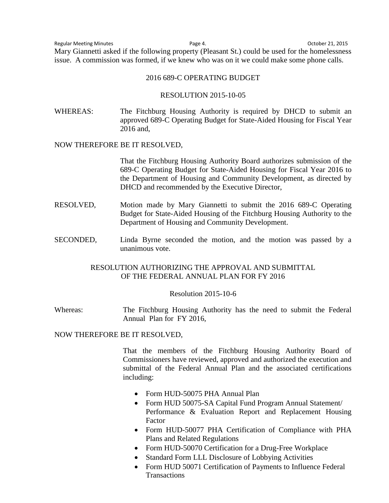Regular Meeting Minutes Page 4. October 21, 2015 Mary Giannetti asked if the following property (Pleasant St.) could be used for the homelessness issue. A commission was formed, if we knew who was on it we could make some phone calls.

#### 2016 689-C OPERATING BUDGET

### RESOLUTION 2015-10-05

WHEREAS: The Fitchburg Housing Authority is required by DHCD to submit an approved 689-C Operating Budget for State-Aided Housing for Fiscal Year 2016 and,

#### NOW THEREFORE BE IT RESOLVED,

That the Fitchburg Housing Authority Board authorizes submission of the 689-C Operating Budget for State-Aided Housing for Fiscal Year 2016 to the Department of Housing and Community Development, as directed by DHCD and recommended by the Executive Director,

- RESOLVED, Motion made by Mary Giannetti to submit the 2016 689-C Operating Budget for State-Aided Housing of the Fitchburg Housing Authority to the Department of Housing and Community Development.
- SECONDED, Linda Byrne seconded the motion, and the motion was passed by a unanimous vote.

## RESOLUTION AUTHORIZING THE APPROVAL AND SUBMITTAL OF THE FEDERAL ANNUAL PLAN FOR FY 2016

#### Resolution 2015-10-6

Whereas: The Fitchburg Housing Authority has the need to submit the Federal Annual Plan for FY 2016,

### NOW THEREFORE BE IT RESOLVED,

That the members of the Fitchburg Housing Authority Board of Commissioners have reviewed, approved and authorized the execution and submittal of the Federal Annual Plan and the associated certifications including:

- Form HUD-50075 PHA Annual Plan
- Form HUD 50075-SA Capital Fund Program Annual Statement/ Performance & Evaluation Report and Replacement Housing Factor
- Form HUD-50077 PHA Certification of Compliance with PHA Plans and Related Regulations
- Form HUD-50070 Certification for a Drug-Free Workplace
- Standard Form LLL Disclosure of Lobbying Activities
- Form HUD 50071 Certification of Payments to Influence Federal **Transactions**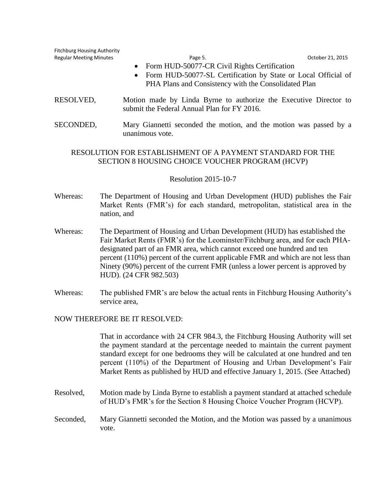| <b>Fitchburg Housing Authority</b><br><b>Regular Meeting Minutes</b> | Page 5.<br>October 21, 2015<br>Form HUD-50077-CR Civil Rights Certification<br>$\bullet$<br>Form HUD-50077-SL Certification by State or Local Official of<br>$\bullet$<br>PHA Plans and Consistency with the Consolidated Plan                                                                                                                                                                                                         |
|----------------------------------------------------------------------|----------------------------------------------------------------------------------------------------------------------------------------------------------------------------------------------------------------------------------------------------------------------------------------------------------------------------------------------------------------------------------------------------------------------------------------|
| RESOLVED,                                                            | Motion made by Linda Byrne to authorize the Executive Director to<br>submit the Federal Annual Plan for FY 2016.                                                                                                                                                                                                                                                                                                                       |
| SECONDED,                                                            | Mary Giannetti seconded the motion, and the motion was passed by a<br>unanimous vote.                                                                                                                                                                                                                                                                                                                                                  |
|                                                                      | RESOLUTION FOR ESTABLISHMENT OF A PAYMENT STANDARD FOR THE<br>SECTION 8 HOUSING CHOICE VOUCHER PROGRAM (HCVP)<br><b>Resolution 2015-10-7</b>                                                                                                                                                                                                                                                                                           |
| Whereas:                                                             | The Department of Housing and Urban Development (HUD) publishes the Fair<br>Market Rents (FMR's) for each standard, metropolitan, statistical area in the<br>nation, and                                                                                                                                                                                                                                                               |
| Whereas:                                                             | The Department of Housing and Urban Development (HUD) has established the<br>Fair Market Rents (FMR's) for the Leominster/Fitchburg area, and for each PHA-<br>designated part of an FMR area, which cannot exceed one hundred and ten<br>percent (110%) percent of the current applicable FMR and which are not less than<br>Ninety (90%) percent of the current FMR (unless a lower percent is approved by<br>HUD). (24 CFR 982.503) |

Whereas: The published FMR's are below the actual rents in Fitchburg Housing Authority's service area,

### NOW THEREFORE BE IT RESOLVED:

That in accordance with 24 CFR 984.3, the Fitchburg Housing Authority will set the payment standard at the percentage needed to maintain the current payment standard except for one bedrooms they will be calculated at one hundred and ten percent (110%) of the Department of Housing and Urban Development's Fair Market Rents as published by HUD and effective January 1, 2015. (See Attached)

- Resolved, Motion made by Linda Byrne to establish a payment standard at attached schedule of HUD's FMR's for the Section 8 Housing Choice Voucher Program (HCVP).
- Seconded, Mary Giannetti seconded the Motion, and the Motion was passed by a unanimous vote.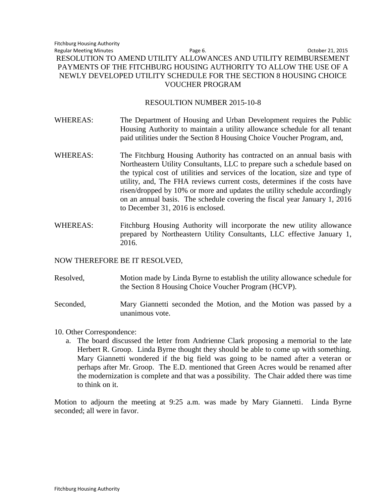## RESOULTION NUMBER 2015-10-8

- WHEREAS: The Department of Housing and Urban Development requires the Public Housing Authority to maintain a utility allowance schedule for all tenant paid utilities under the Section 8 Housing Choice Voucher Program, and,
- WHEREAS: The Fitchburg Housing Authority has contracted on an annual basis with Northeastern Utility Consultants, LLC to prepare such a schedule based on the typical cost of utilities and services of the location, size and type of utility, and, The FHA reviews current costs, determines if the costs have risen/dropped by 10% or more and updates the utility schedule accordingly on an annual basis. The schedule covering the fiscal year January 1, 2016 to December 31, 2016 is enclosed.
- WHEREAS: Fitchburg Housing Authority will incorporate the new utility allowance prepared by Northeastern Utility Consultants, LLC effective January 1, 2016.

# NOW THEREFORE BE IT RESOLVED,

Resolved, Motion made by Linda Byrne to establish the utility allowance schedule for the Section 8 Housing Choice Voucher Program (HCVP).

Seconded, Mary Giannetti seconded the Motion, and the Motion was passed by a unanimous vote.

- 10. Other Correspondence:
	- a. The board discussed the letter from Andrienne Clark proposing a memorial to the late Herbert R. Groop. Linda Byrne thought they should be able to come up with something. Mary Giannetti wondered if the big field was going to be named after a veteran or perhaps after Mr. Groop. The E.D. mentioned that Green Acres would be renamed after the modernization is complete and that was a possibility. The Chair added there was time to think on it.

Motion to adjourn the meeting at 9:25 a.m. was made by Mary Giannetti. Linda Byrne seconded; all were in favor.